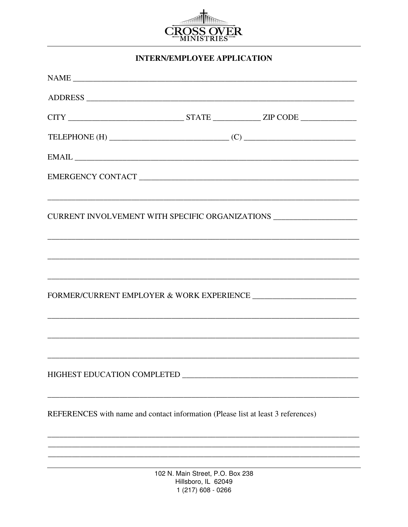

## **INTERN/EMPLOYEE APPLICATION**

| NAME                                                                                                                                                                                                                                                                                                                                                                                                                                                                                       |                                                                               |  |
|--------------------------------------------------------------------------------------------------------------------------------------------------------------------------------------------------------------------------------------------------------------------------------------------------------------------------------------------------------------------------------------------------------------------------------------------------------------------------------------------|-------------------------------------------------------------------------------|--|
|                                                                                                                                                                                                                                                                                                                                                                                                                                                                                            |                                                                               |  |
|                                                                                                                                                                                                                                                                                                                                                                                                                                                                                            |                                                                               |  |
| TELEPHONE (H) $\qquad \qquad \qquad$ (C) $\qquad \qquad$                                                                                                                                                                                                                                                                                                                                                                                                                                   |                                                                               |  |
| $EMAIL \begin{tabular}{l} \multicolumn{2}{c} {\textbf{1}}\\ \multicolumn{2}{c} {\textbf{1}}\\ \multicolumn{2}{c} {\textbf{2}}\\ \multicolumn{2}{c} {\textbf{5}}\\ \multicolumn{2}{c} {\textbf{5}}\\ \multicolumn{2}{c} {\textbf{5}}\\ \multicolumn{2}{c} {\textbf{6}}\\ \multicolumn{2}{c} {\textbf{6}}\\ \multicolumn{2}{c} {\textbf{6}}\\ \multicolumn{2}{c} {\textbf{6}}\\ \multicolumn{2}{c} {\textbf{6}}\\ \multicolumn{2}{c} {\textbf{6}}\\ \multicolumn{2}{c} {\textbf{6}}\\ \mult$ |                                                                               |  |
|                                                                                                                                                                                                                                                                                                                                                                                                                                                                                            |                                                                               |  |
|                                                                                                                                                                                                                                                                                                                                                                                                                                                                                            |                                                                               |  |
| CURRENT INVOLVEMENT WITH SPECIFIC ORGANIZATIONS ____________________                                                                                                                                                                                                                                                                                                                                                                                                                       |                                                                               |  |
|                                                                                                                                                                                                                                                                                                                                                                                                                                                                                            |                                                                               |  |
|                                                                                                                                                                                                                                                                                                                                                                                                                                                                                            |                                                                               |  |
| ,我们也不能在这里的人,我们也不能在这里的人,我们也不能在这里的人,我们也不能在这里的人,我们也不能在这里的人,我们也不能在这里的人,我们也不能在这里的人,我们也                                                                                                                                                                                                                                                                                                                                                                                                          |                                                                               |  |
|                                                                                                                                                                                                                                                                                                                                                                                                                                                                                            |                                                                               |  |
|                                                                                                                                                                                                                                                                                                                                                                                                                                                                                            |                                                                               |  |
|                                                                                                                                                                                                                                                                                                                                                                                                                                                                                            |                                                                               |  |
|                                                                                                                                                                                                                                                                                                                                                                                                                                                                                            |                                                                               |  |
| HIGHEST EDUCATION COMPLETED                                                                                                                                                                                                                                                                                                                                                                                                                                                                |                                                                               |  |
|                                                                                                                                                                                                                                                                                                                                                                                                                                                                                            |                                                                               |  |
| REFERENCES with name and contact information (Please list at least 3 references)                                                                                                                                                                                                                                                                                                                                                                                                           |                                                                               |  |
|                                                                                                                                                                                                                                                                                                                                                                                                                                                                                            |                                                                               |  |
|                                                                                                                                                                                                                                                                                                                                                                                                                                                                                            |                                                                               |  |
|                                                                                                                                                                                                                                                                                                                                                                                                                                                                                            | 102 N. Main Street, P.O. Box 238<br>Hillsboro, IL 62049<br>1 (217) 608 - 0266 |  |